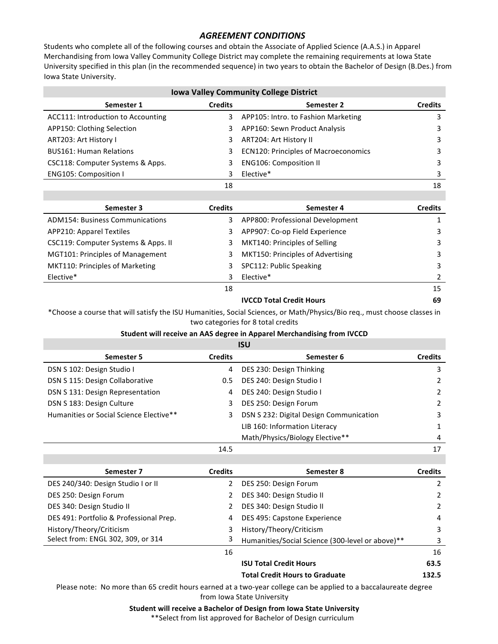## **AGREEMENT CONDITIONS**

Students who complete all of the following courses and obtain the Associate of Applied Science (A.A.S.) in Apparel Merchandising from Iowa Valley Community College District may complete the remaining requirements at Iowa State University specified in this plan (in the recommended sequence) in two years to obtain the Bachelor of Design (B.Des.) from Iowa State University.

| <b>Iowa Valley Community College District</b> |                |                                             |                |  |
|-----------------------------------------------|----------------|---------------------------------------------|----------------|--|
| Semester 1                                    | <b>Credits</b> | Semester 2                                  | <b>Credits</b> |  |
| ACC111: Introduction to Accounting            | 3              | APP105: Intro. to Fashion Marketing         |                |  |
| APP150: Clothing Selection                    | 3              | APP160: Sewn Product Analysis               |                |  |
| ART203: Art History I                         | 3.             | ART204: Art History II                      | 3              |  |
| <b>BUS161: Human Relations</b>                | 3              | <b>ECN120: Principles of Macroeconomics</b> |                |  |
| CSC118: Computer Systems & Apps.              |                | <b>ENG106: Composition II</b>               | 3              |  |
| ENG105: Composition I                         |                | Elective*                                   | 3              |  |
|                                               | 18             |                                             | 18             |  |

| Semester 3                             | <b>Credits</b> | Semester 4                        | <b>Credits</b> |
|----------------------------------------|----------------|-----------------------------------|----------------|
| <b>ADM154: Business Communications</b> | 3              | APP800: Professional Development  |                |
| <b>APP210: Apparel Textiles</b>        | 3              | APP907: Co-op Field Experience    | 3              |
| CSC119: Computer Systems & Apps. II    | 3.             | MKT140: Principles of Selling     | 3              |
| MGT101: Principles of Management       | 3              | MKT150: Principles of Advertising | 3              |
| MKT110: Principles of Marketing        | 3              | SPC112: Public Speaking           | 3              |
| Elective*                              | 3              | Elective*                         |                |
|                                        | 18             |                                   | 15             |

\*Choose a course that will satisfy the ISU Humanities, Social Sciences, or Math/Physics/Bio req., must choose classes in two categories for 8 total credits

**IVCCD** Total Credit Hours **69** 

## **Student will receive an AAS degree in Apparel Merchandising from IVCCD ISU**

| IJU                                     |                |                                         |                |
|-----------------------------------------|----------------|-----------------------------------------|----------------|
| Semester 5                              | <b>Credits</b> | Semester 6                              | <b>Credits</b> |
| DSN S 102: Design Studio I              | 4              | DES 230: Design Thinking                | 3              |
| DSN S 115: Design Collaborative         | $0.5^{\circ}$  | DES 240: Design Studio I                | $\overline{2}$ |
| DSN S 131: Design Representation        | 4              | DES 240: Design Studio I                | 2              |
| DSN S 183: Design Culture               | 3              | DES 250: Design Forum                   | $\mathcal{P}$  |
| Humanities or Social Science Elective** | 3              | DSN S 232: Digital Design Communication | 3              |
|                                         |                | LIB 160: Information Literacy           | 1              |
|                                         |                | Math/Physics/Biology Elective**         | 4              |
|                                         | 14.5           |                                         | 17             |

| Semester 7                              | <b>Credits</b> | Semester 8                                       | <b>Credits</b> |
|-----------------------------------------|----------------|--------------------------------------------------|----------------|
| DES 240/340: Design Studio I or II      |                | DES 250: Design Forum                            | 2              |
| DES 250: Design Forum                   | $\mathcal{L}$  | DES 340: Design Studio II                        | 2              |
| DES 340: Design Studio II               | 2              | DES 340: Design Studio II                        | 2              |
| DES 491: Portfolio & Professional Prep. | 4              | DES 495: Capstone Experience                     | 4              |
| History/Theory/Criticism                | 3              | History/Theory/Criticism                         | 3              |
| Select from: ENGL 302, 309, or 314      | 3              | Humanities/Social Science (300-level or above)** | 3              |
|                                         | 16             |                                                  | 16             |
|                                         |                | <b>ISU Total Credit Hours</b>                    | 63.5           |
|                                         |                | <b>Total Credit Hours to Graduate</b>            | 132.5          |

Please note: No more than 65 credit hours earned at a two-year college can be applied to a baccalaureate degree from Iowa State University

**Student will receive a Bachelor of Design from Iowa State University** 

\*\* Select from list approved for Bachelor of Design curriculum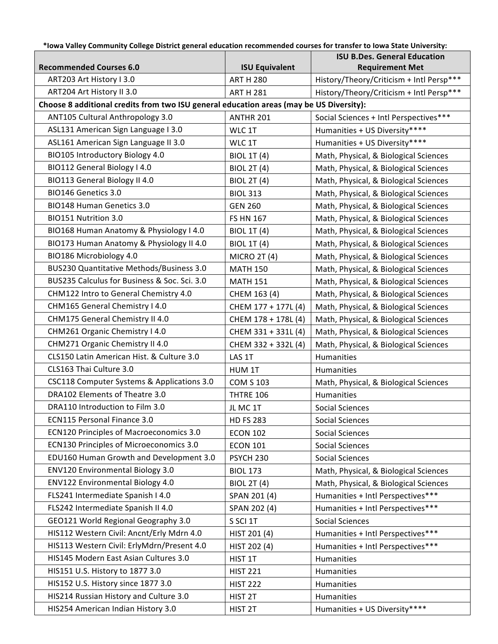**\*Iowa Valley Community College District general education recommended courses for transfer to Iowa State University:**

|                                                                                         |                       | <b>ISU B.Des. General Education</b>      |
|-----------------------------------------------------------------------------------------|-----------------------|------------------------------------------|
| <b>Recommended Courses 6.0</b>                                                          | <b>ISU Equivalent</b> | <b>Requirement Met</b>                   |
| ART203 Art History I 3.0                                                                | <b>ART H 280</b>      | History/Theory/Criticism + Intl Persp*** |
| ART204 Art History II 3.0                                                               | <b>ART H 281</b>      | History/Theory/Criticism + Intl Persp*** |
| Choose 8 additional credits from two ISU general education areas (may be US Diversity): |                       |                                          |
| ANT105 Cultural Anthropology 3.0                                                        | ANTHR 201             | Social Sciences + Intl Perspectives***   |
| ASL131 American Sign Language I 3.0                                                     | WLC 1T                | Humanities + US Diversity****            |
| ASL161 American Sign Language II 3.0                                                    | WLC 1T                | Humanities + US Diversity****            |
| BIO105 Introductory Biology 4.0                                                         | <b>BIOL 1T (4)</b>    | Math, Physical, & Biological Sciences    |
| BIO112 General Biology I 4.0                                                            | <b>BIOL 2T (4)</b>    | Math, Physical, & Biological Sciences    |
| BIO113 General Biology II 4.0                                                           | <b>BIOL 2T (4)</b>    | Math, Physical, & Biological Sciences    |
| BIO146 Genetics 3.0                                                                     | <b>BIOL 313</b>       | Math, Physical, & Biological Sciences    |
| BIO148 Human Genetics 3.0                                                               | <b>GEN 260</b>        | Math, Physical, & Biological Sciences    |
| BIO151 Nutrition 3.0                                                                    | <b>FS HN 167</b>      | Math, Physical, & Biological Sciences    |
| BIO168 Human Anatomy & Physiology I 4.0                                                 | <b>BIOL 1T (4)</b>    | Math, Physical, & Biological Sciences    |
| BIO173 Human Anatomy & Physiology II 4.0                                                | <b>BIOL 1T (4)</b>    | Math, Physical, & Biological Sciences    |
| BIO186 Microbiology 4.0                                                                 | <b>MICRO 2T (4)</b>   | Math, Physical, & Biological Sciences    |
| BUS230 Quantitative Methods/Business 3.0                                                | <b>MATH 150</b>       | Math, Physical, & Biological Sciences    |
| BUS235 Calculus for Business & Soc. Sci. 3.0                                            | <b>MATH 151</b>       | Math, Physical, & Biological Sciences    |
| CHM122 Intro to General Chemistry 4.0                                                   | CHEM 163 (4)          | Math, Physical, & Biological Sciences    |
| CHM165 General Chemistry I 4.0                                                          | CHEM 177 + 177L (4)   | Math, Physical, & Biological Sciences    |
| CHM175 General Chemistry II 4.0                                                         | CHEM 178 + 178L (4)   | Math, Physical, & Biological Sciences    |
| CHM261 Organic Chemistry I 4.0                                                          | CHEM 331 + 331L (4)   | Math, Physical, & Biological Sciences    |
| CHM271 Organic Chemistry II 4.0                                                         | CHEM 332 + 332L (4)   | Math, Physical, & Biological Sciences    |
| CLS150 Latin American Hist. & Culture 3.0                                               | LAS 1T                | Humanities                               |
| CLS163 Thai Culture 3.0                                                                 | HUM 1T                | Humanities                               |
| CSC118 Computer Systems & Applications 3.0                                              | <b>COM S 103</b>      | Math, Physical, & Biological Sciences    |
| DRA102 Elements of Theatre 3.0                                                          | THTRE 106             | Humanities                               |
| DRA110 Introduction to Film 3.0                                                         | JL MC 1T              | <b>Social Sciences</b>                   |
| <b>ECN115 Personal Finance 3.0</b>                                                      | <b>HD FS 283</b>      | <b>Social Sciences</b>                   |
| <b>ECN120 Principles of Macroeconomics 3.0</b>                                          | <b>ECON 102</b>       | Social Sciences                          |
| ECN130 Principles of Microeconomics 3.0                                                 | <b>ECON 101</b>       | <b>Social Sciences</b>                   |
| EDU160 Human Growth and Development 3.0                                                 | <b>PSYCH 230</b>      | <b>Social Sciences</b>                   |
| ENV120 Environmental Biology 3.0                                                        | <b>BIOL 173</b>       | Math, Physical, & Biological Sciences    |
| ENV122 Environmental Biology 4.0                                                        | <b>BIOL 2T (4)</b>    | Math, Physical, & Biological Sciences    |
| FLS241 Intermediate Spanish I 4.0                                                       | SPAN 201 (4)          | Humanities + Intl Perspectives***        |
| FLS242 Intermediate Spanish II 4.0                                                      | SPAN 202 (4)          | Humanities + Intl Perspectives***        |
| GEO121 World Regional Geography 3.0                                                     | S SCI 1T              | <b>Social Sciences</b>                   |
| HIS112 Western Civil: Ancnt/Erly Mdrn 4.0                                               | HIST 201 (4)          | Humanities + Intl Perspectives***        |
| HIS113 Western Civil: ErlyMdrn/Present 4.0                                              | HIST 202 (4)          | Humanities + Intl Perspectives***        |
| HIS145 Modern East Asian Cultures 3.0                                                   | HIST 1T               | Humanities                               |
| HIS151 U.S. History to 1877 3.0                                                         | <b>HIST 221</b>       | Humanities                               |
| HIS152 U.S. History since 1877 3.0                                                      | <b>HIST 222</b>       | Humanities                               |
| HIS214 Russian History and Culture 3.0                                                  | HIST <sub>2T</sub>    | Humanities                               |
| HIS254 American Indian History 3.0                                                      | HIST <sub>2T</sub>    | Humanities + US Diversity****            |